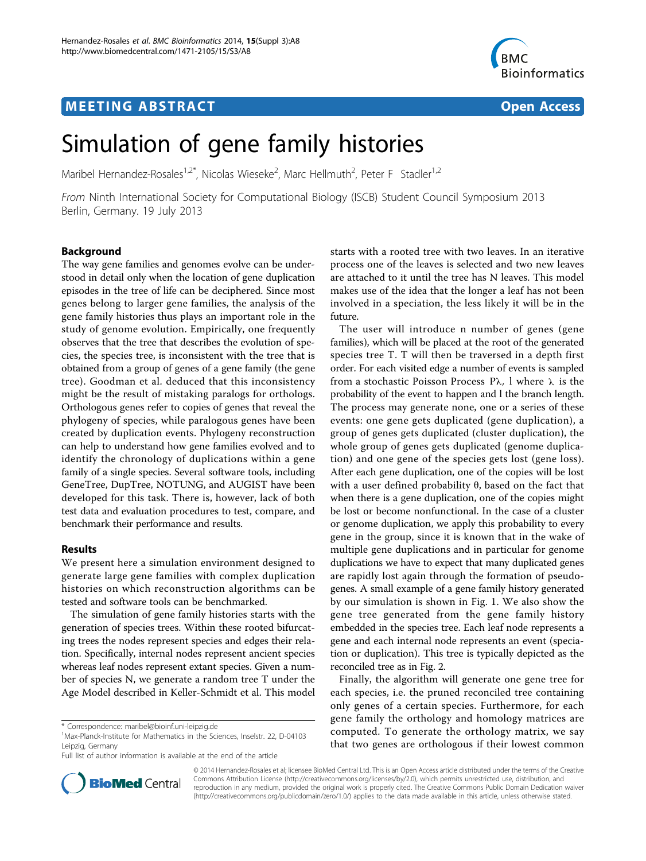# **MEETING ABSTRACT CONSUMING ABSTRACT**



# Simulation of gene family histories

Maribel Hernandez-Rosales<sup>1,2\*</sup>, Nicolas Wieseke<sup>2</sup>, Marc Hellmuth<sup>2</sup>, Peter F Stadler<sup>1,2</sup>

From Ninth International Society for Computational Biology (ISCB) Student Council Symposium 2013 Berlin, Germany. 19 July 2013

# Background

The way gene families and genomes evolve can be understood in detail only when the location of gene duplication episodes in the tree of life can be deciphered. Since most genes belong to larger gene families, the analysis of the gene family histories thus plays an important role in the study of genome evolution. Empirically, one frequently observes that the tree that describes the evolution of species, the species tree, is inconsistent with the tree that is obtained from a group of genes of a gene family (the gene tree). Goodman et al. deduced that this inconsistency might be the result of mistaking paralogs for orthologs. Orthologous genes refer to copies of genes that reveal the phylogeny of species, while paralogous genes have been created by duplication events. Phylogeny reconstruction can help to understand how gene families evolved and to identify the chronology of duplications within a gene family of a single species. Several software tools, including GeneTree, DupTree, NOTUNG, and AUGIST have been developed for this task. There is, however, lack of both test data and evaluation procedures to test, compare, and benchmark their performance and results.

## Results

We present here a simulation environment designed to generate large gene families with complex duplication histories on which reconstruction algorithms can be tested and software tools can be benchmarked.

The simulation of gene family histories starts with the generation of species trees. Within these rooted bifurcating trees the nodes represent species and edges their relation. Specifically, internal nodes represent ancient species whereas leaf nodes represent extant species. Given a number of species N, we generate a random tree T under the Age Model described in Keller-Schmidt et al. This model



The user will introduce n number of genes (gene families), which will be placed at the root of the generated species tree T. T will then be traversed in a depth first order. For each visited edge a number of events is sampled from a stochastic Poisson Process Pλ, l where λ is the probability of the event to happen and l the branch length. The process may generate none, one or a series of these events: one gene gets duplicated (gene duplication), a group of genes gets duplicated (cluster duplication), the whole group of genes gets duplicated (genome duplication) and one gene of the species gets lost (gene loss). After each gene duplication, one of the copies will be lost with a user defined probability  $θ$ , based on the fact that when there is a gene duplication, one of the copies might be lost or become nonfunctional. In the case of a cluster or genome duplication, we apply this probability to every gene in the group, since it is known that in the wake of multiple gene duplications and in particular for genome duplications we have to expect that many duplicated genes are rapidly lost again through the formation of pseudogenes. A small example of a gene family history generated by our simulation is shown in Fig. [1.](#page-1-0) We also show the gene tree generated from the gene family history embedded in the species tree. Each leaf node represents a gene and each internal node represents an event (speciation or duplication). This tree is typically depicted as the reconciled tree as in Fig. [2.](#page-1-0)

Finally, the algorithm will generate one gene tree for each species, i.e. the pruned reconciled tree containing only genes of a certain species. Furthermore, for each gene family the orthology and homology matrices are computed. To generate the orthology matrix, we say that two genes are orthologous if their lowest common



© 2014 Hernandez-Rosales et al; licensee BioMed Central Ltd. This is an Open Access article distributed under the terms of the Creative Commons Attribution License [\(http://creativecommons.org/licenses/by/2.0](http://creativecommons.org/licenses/by/2.0)), which permits unrestricted use, distribution, and reproduction in any medium, provided the original work is properly cited. The Creative Commons Public Domain Dedication waiver [\(http://creativecommons.org/publicdomain/zero/1.0/](http://creativecommons.org/publicdomain/zero/1.0/)) applies to the data made available in this article, unless otherwise stated.

<sup>\*</sup> Correspondence: [maribel@bioinf.uni-leipzig.de](mailto:maribel@bioinf.uni-leipzig.de)

<sup>&</sup>lt;sup>1</sup>Max-Planck-Institute for Mathematics in the Sciences, Inselstr. 22, D-04103 Leipzig, Germany

Full list of author information is available at the end of the article